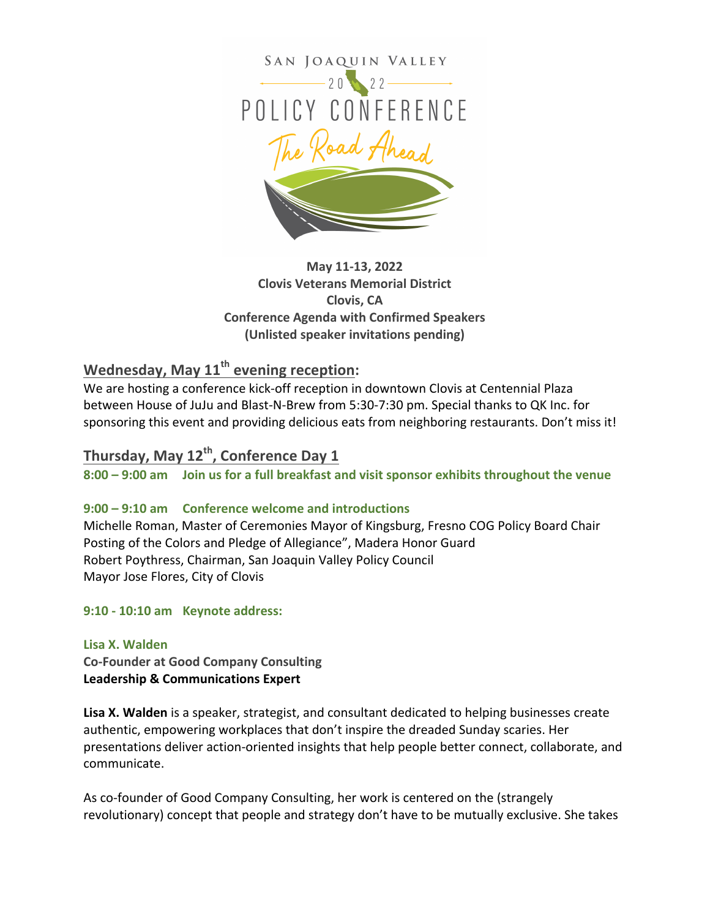

**May 11-13, 2022 Clovis Veterans Memorial District Clovis, CA Conference Agenda with Confirmed Speakers (Unlisted speaker invitations pending)**

# **Wednesday, May 11<sup>th</sup> evening reception:**

We are hosting a conference kick-off reception in downtown Clovis at Centennial Plaza between House of JuJu and Blast-N-Brew from 5:30-7:30 pm. Special thanks to QK Inc. for sponsoring this event and providing delicious eats from neighboring restaurants. Don't miss it!

# Thursday, May 12<sup>th</sup>, Conference Day 1

**8:00 – 9:00 am Join us for a full breakfast and visit sponsor exhibits throughout the venue**

# **9:00 – 9:10 am Conference welcome and introductions**

Michelle Roman, Master of Ceremonies Mayor of Kingsburg, Fresno COG Policy Board Chair Posting of the Colors and Pledge of Allegiance", Madera Honor Guard Robert Poythress, Chairman, San Joaquin Valley Policy Council Mayor Jose Flores, City of Clovis

# **9:10 - 10:10 am Keynote address:**

# **Lisa X. Walden**

**Co-Founder at Good Company Consulting Leadership & Communications Expert** 

**Lisa X. Walden** is a speaker, strategist, and consultant dedicated to helping businesses create authentic, empowering workplaces that don't inspire the dreaded Sunday scaries. Her presentations deliver action-oriented insights that help people better connect, collaborate, and communicate.

As co-founder of Good Company Consulting, her work is centered on the (strangely revolutionary) concept that people and strategy don't have to be mutually exclusive. She takes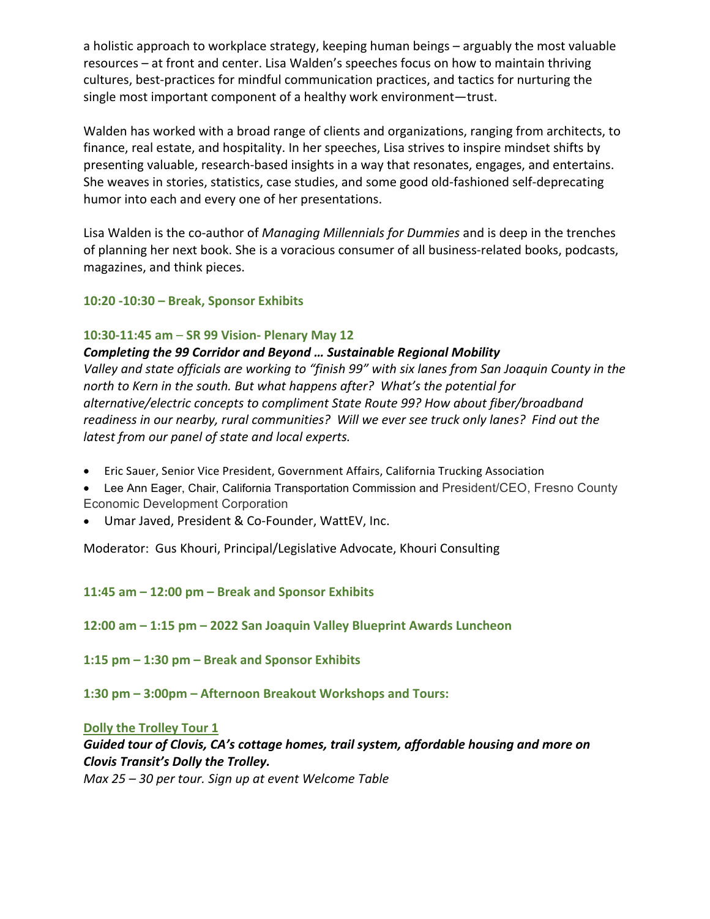a holistic approach to workplace strategy, keeping human beings – arguably the most valuable resources – at front and center. Lisa Walden's speeches focus on how to maintain thriving cultures, best-practices for mindful communication practices, and tactics for nurturing the single most important component of a healthy work environment—trust.

Walden has worked with a broad range of clients and organizations, ranging from architects, to finance, real estate, and hospitality. In her speeches, Lisa strives to inspire mindset shifts by presenting valuable, research-based insights in a way that resonates, engages, and entertains. She weaves in stories, statistics, case studies, and some good old-fashioned self-deprecating humor into each and every one of her presentations.

Lisa Walden is the co-author of *Managing Millennials for Dummies* and is deep in the trenches of planning her next book. She is a voracious consumer of all business-related books, podcasts, magazines, and think pieces.

# **10:20 -10:30 – Break, Sponsor Exhibits**

# **10:30-11:45 am** – **SR 99 Vision- Plenary May 12**

**Completing the 99 Corridor and Beyond ... Sustainable Regional Mobility** *Valley* and state officials are working to "finish 99" with six lanes from San Joaquin County in the *north* to Kern in the south. But what happens after? What's the potential for alternative/electric concepts to compliment State Route 99? How about fiber/broadband readiness in our nearby, rural communities? Will we ever see truck only lanes? Find out the latest from our panel of state and local experts.

- Eric Sauer, Senior Vice President, Government Affairs, California Trucking Association
- Lee Ann Eager, Chair, California Transportation Commission and President/CEO, Fresno County Economic Development Corporation
- Umar Javed, President & Co-Founder, WattEV, Inc.

Moderator: Gus Khouri, Principal/Legislative Advocate, Khouri Consulting

**11:45 am – 12:00 pm – Break and Sponsor Exhibits**

**12:00 am – 1:15 pm – 2022 San Joaquin Valley Blueprint Awards Luncheon**

**1:15 pm – 1:30 pm – Break and Sponsor Exhibits**

**1:30 pm – 3:00pm – Afternoon Breakout Workshops and Tours:**

**Dolly the Trolley Tour 1** 

Guided tour of Clovis, CA's cottage homes, trail system, affordable housing and more on *Clovis Transit's Dolly the Trolley.*

*Max* 25 – 30 per tour. Sign up at event Welcome Table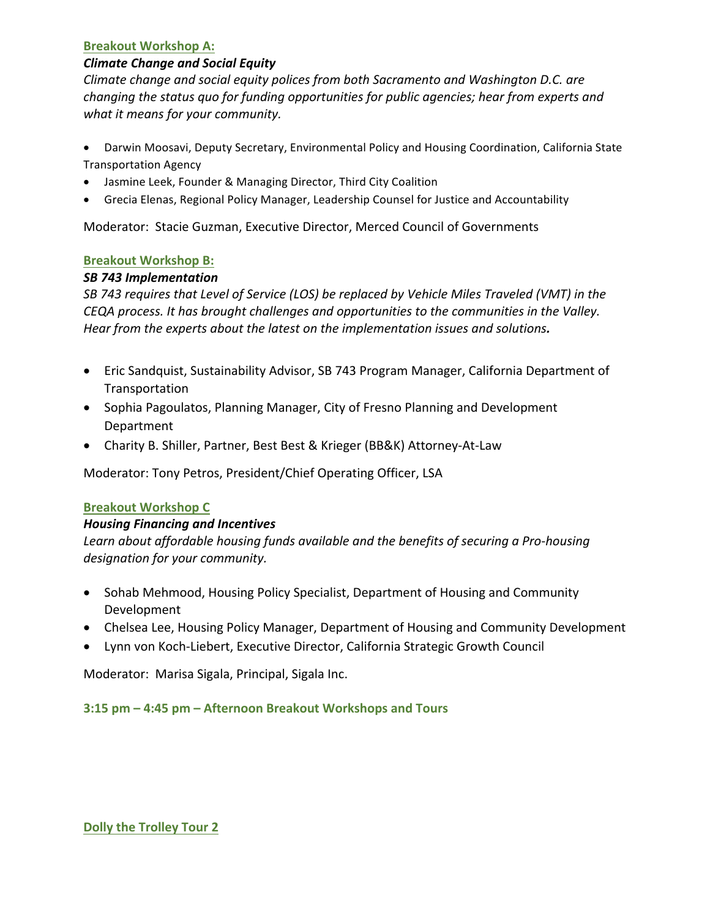#### **Breakout Workshop A:**

# *Climate Change and Social Equity*

*Climate change and social equity polices from both Sacramento and Washington D.C. are changing* the status quo for funding opportunities for public agencies; hear from experts and what it means for your community.

- Darwin Moosavi, Deputy Secretary, Environmental Policy and Housing Coordination, California State Transportation Agency
- Jasmine Leek, Founder & Managing Director, Third City Coalition
- Grecia Elenas, Regional Policy Manager, Leadership Counsel for Justice and Accountability

Moderator: Stacie Guzman, Executive Director, Merced Council of Governments

# **Breakout Workshop B:**

# *SB 743 Implementation*

SB 743 requires that Level of Service (LOS) be replaced by Vehicle Miles Traveled (VMT) in the *CEQA* process. It has brought challenges and opportunities to the communities in the Valley. Hear from the experts about the latest on the implementation issues and solutions.

- Eric Sandquist, Sustainability Advisor, SB 743 Program Manager, California Department of Transportation
- Sophia Pagoulatos, Planning Manager, City of Fresno Planning and Development Department
- Charity B. Shiller, Partner, Best Best & Krieger (BB&K) Attorney-At-Law

Moderator: Tony Petros, President/Chief Operating Officer, LSA

# **Breakout Workshop C**

# *Housing Financing and Incentives*

Learn about affordable housing funds available and the benefits of securing a Pro-housing *designation for your community.*

- Sohab Mehmood, Housing Policy Specialist, Department of Housing and Community Development
- Chelsea Lee, Housing Policy Manager, Department of Housing and Community Development
- Lynn von Koch-Liebert, Executive Director, California Strategic Growth Council

Moderator: Marisa Sigala, Principal, Sigala Inc.

# **3:15 pm – 4:45 pm – Afternoon Breakout Workshops and Tours**

# **Dolly the Trolley Tour 2**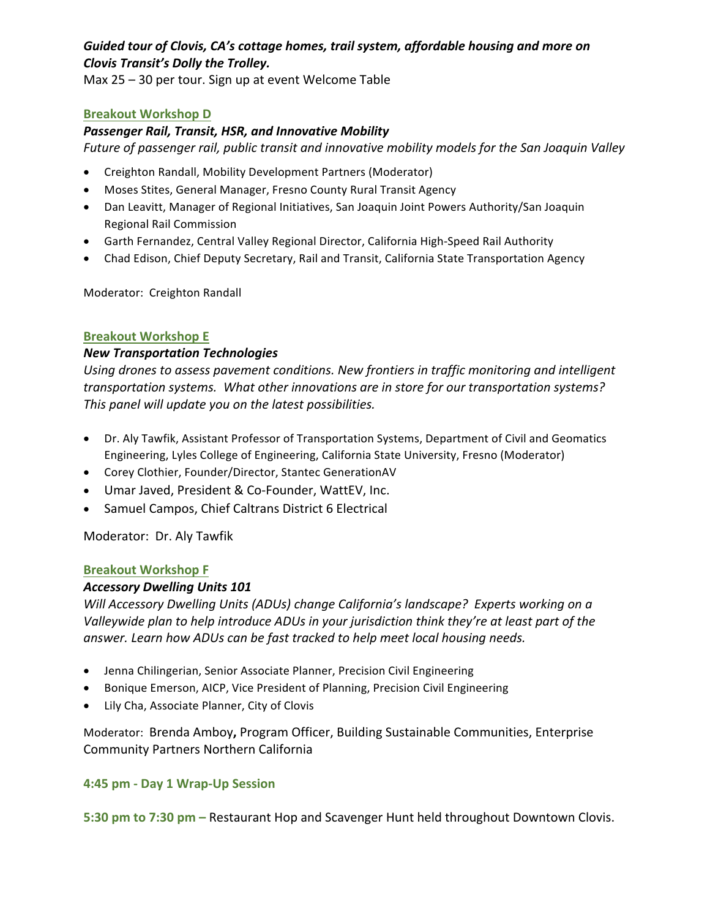# Guided tour of Clovis, CA's cottage homes, trail system, affordable housing and more on *Clovis Transit's Dolly the Trolley.*

Max  $25 - 30$  per tour. Sign up at event Welcome Table

# **Breakout Workshop D**

# *Passenger Rail, Transit, HSR, and Innovative Mobility*

*Future of passenger rail, public transit and innovative mobility models for the San Joaquin Valley* 

- Creighton Randall, Mobility Development Partners (Moderator)
- Moses Stites, General Manager, Fresno County Rural Transit Agency
- Dan Leavitt, Manager of Regional Initiatives, San Joaquin Joint Powers Authority/San Joaquin Regional Rail Commission
- Garth Fernandez, Central Valley Regional Director, California High-Speed Rail Authority
- Chad Edison, Chief Deputy Secretary, Rail and Transit, California State Transportation Agency

Moderator: Creighton Randall

# **Breakout Workshop E**

# *New Transportation Technologies*

Using drones to assess pavement conditions. New frontiers in traffic monitoring and intelligent transportation systems. What other innovations are in store for our transportation systems? This panel will update you on the latest possibilities.

- Dr. Aly Tawfik, Assistant Professor of Transportation Systems, Department of Civil and Geomatics Engineering, Lyles College of Engineering, California State University, Fresno (Moderator)
- Corey Clothier, Founder/Director, Stantec GenerationAV
- Umar Javed, President & Co-Founder, WattEV, Inc.
- Samuel Campos, Chief Caltrans District 6 Electrical

Moderator: Dr. Aly Tawfik

# **Breakout Workshop F**

# *Accessory Dwelling Units 101*

*Will Accessory Dwelling Units (ADUs) change California's landscape? Experts working on a* Valleywide plan to help introduce ADUs in your jurisdiction think they're at least part of the answer. Learn how ADUs can be fast tracked to help meet local housing needs.

- Jenna Chilingerian, Senior Associate Planner, Precision Civil Engineering
- Bonique Emerson, AICP, Vice President of Planning, Precision Civil Engineering
- Lily Cha, Associate Planner, City of Clovis

Moderator: Brenda Amboy, Program Officer, Building Sustainable Communities, Enterprise Community Partners Northern California

# **4:45 pm - Day 1 Wrap-Up Session**

**5:30 pm to 7:30 pm** – Restaurant Hop and Scavenger Hunt held throughout Downtown Clovis.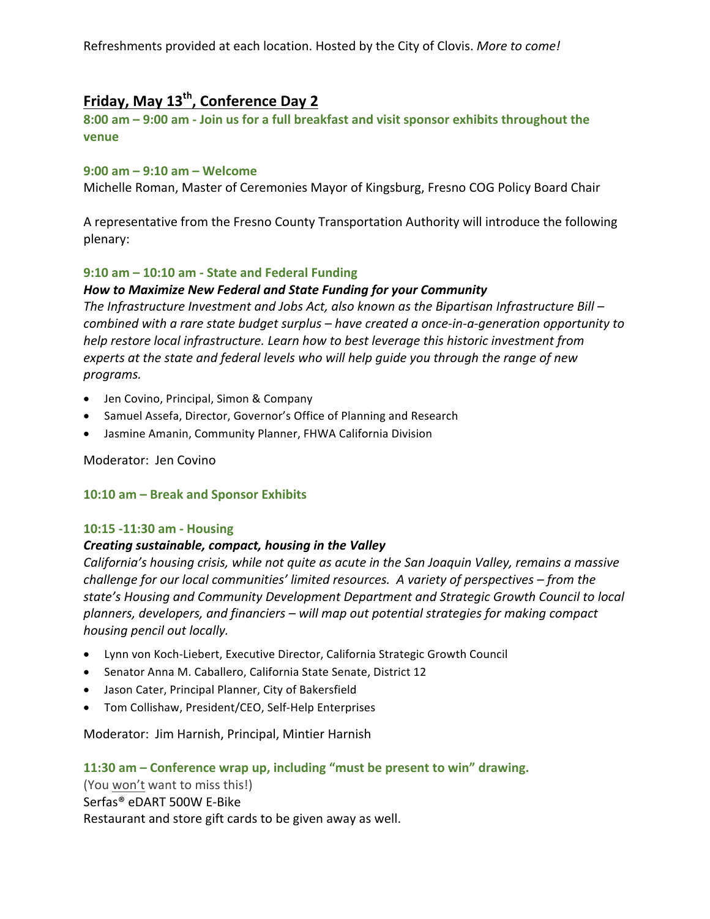Refreshments provided at each location. Hosted by the City of Clovis. *More to come!* 

# Friday, May 13<sup>th</sup>, Conference Day 2

8:00 am  $-$  9:00 am  $-$  Join us for a full breakfast and visit sponsor exhibits throughout the **venue**

#### **9:00 am – 9:10 am – Welcome**

Michelle Roman, Master of Ceremonies Mayor of Kingsburg, Fresno COG Policy Board Chair

A representative from the Fresno County Transportation Authority will introduce the following plenary:

#### **9:10 am – 10:10 am - State and Federal Funding**

#### How to Maximize New Federal and State Funding for your Community

The Infrastructure Investment and Jobs Act, also known as the Bipartisan Infrastructure Bill – *combined* with a rare state budget surplus – have created a once-in-a-generation opportunity to *help restore local infrastructure. Learn how to best leverage this historic investment from* experts at the state and federal levels who will help guide you through the range of new *programs.*

- Jen Covino, Principal, Simon & Company
- Samuel Assefa, Director, Governor's Office of Planning and Research
- Jasmine Amanin, Community Planner, FHWA California Division

#### Moderator: Jen Covino

# 10:10 am - Break and Sponsor Exhibits

# **10:15 -11:30 am - Housing**

# *Creating sustainable, compact, housing in the Valley*

*California's* housing crisis, while not quite as acute in the San Joaquin Valley, remains a massive *challenge for our local communities' limited resources. A variety of perspectives – from the* state's Housing and Community Development Department and Strategic Growth Council to local *planners, developers, and financiers – will map out potential strategies for making compact housing pencil out locally.*

- Lynn von Koch-Liebert, Executive Director, California Strategic Growth Council
- Senator Anna M. Caballero, California State Senate, District 12
- Jason Cater, Principal Planner, City of Bakersfield
- Tom Collishaw, President/CEO, Self-Help Enterprises

Moderator: Jim Harnish, Principal, Mintier Harnish

# **11:30 am – Conference wrap up, including "must be present to win" drawing.**

(You won't want to miss this!)

Serfas® eDART 500W E-Bike

Restaurant and store gift cards to be given away as well.